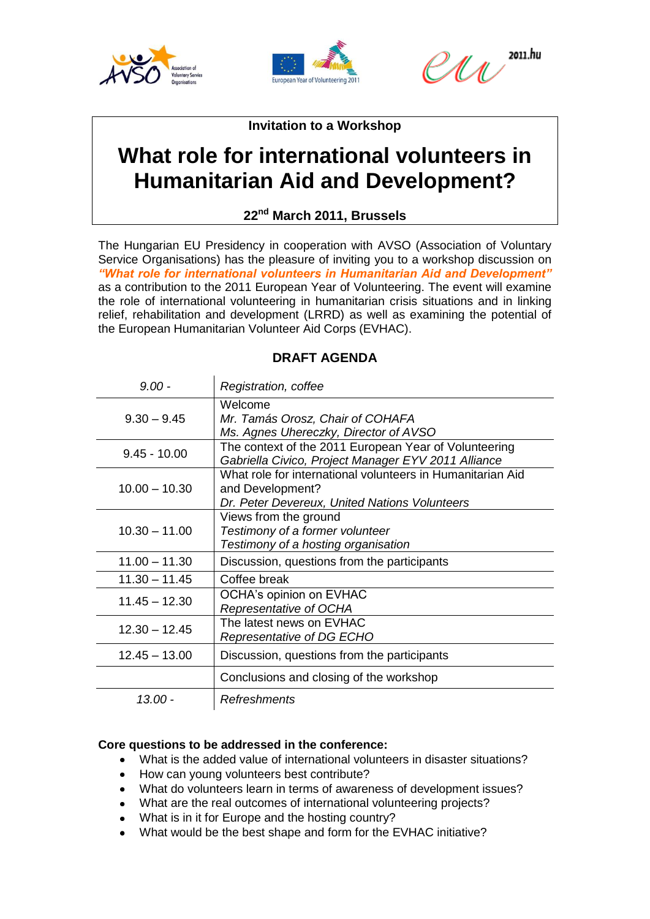





**Invitation to a Workshop**

# **What role for international volunteers in Humanitarian Aid and Development?**

**22nd March 2011, Brussels**

The Hungarian EU Presidency in cooperation with AVSO (Association of Voluntary Service Organisations) has the pleasure of inviting you to a workshop discussion on *"What role for international volunteers in Humanitarian Aid and Development"*  as a contribution to the 2011 European Year of Volunteering. The event will examine the role of international volunteering in humanitarian crisis situations and in linking relief, rehabilitation and development (LRRD) as well as examining the potential of the European Humanitarian Volunteer Aid Corps (EVHAC).

| $9.00 -$        | Registration, coffee                                                                                                            |
|-----------------|---------------------------------------------------------------------------------------------------------------------------------|
| $9.30 - 9.45$   | Welcome<br>Mr. Tamás Orosz, Chair of COHAFA<br>Ms. Agnes Uhereczky, Director of AVSO                                            |
| $9.45 - 10.00$  | The context of the 2011 European Year of Volunteering<br>Gabriella Civico, Project Manager EYV 2011 Alliance                    |
| $10.00 - 10.30$ | What role for international volunteers in Humanitarian Aid<br>and Development?<br>Dr. Peter Devereux, United Nations Volunteers |
| $10.30 - 11.00$ | Views from the ground<br>Testimony of a former volunteer<br>Testimony of a hosting organisation                                 |
| $11.00 - 11.30$ | Discussion, questions from the participants                                                                                     |
| $11.30 - 11.45$ | Coffee break                                                                                                                    |
| $11.45 - 12.30$ | OCHA's opinion on EVHAC<br>Representative of OCHA                                                                               |
| $12.30 - 12.45$ | The latest news on EVHAC<br>Representative of DG ECHO                                                                           |
| $12.45 - 13.00$ | Discussion, questions from the participants                                                                                     |
|                 | Conclusions and closing of the workshop                                                                                         |
| 13.00 -         | <b>Refreshments</b>                                                                                                             |

## **DRAFT AGENDA**

### **Core questions to be addressed in the conference:**

- What is the added value of international volunteers in disaster situations?
- How can young volunteers best contribute?
- What do volunteers learn in terms of awareness of development issues?
- What are the real outcomes of international volunteering projects?
- What is in it for Europe and the hosting country?
- What would be the best shape and form for the EVHAC initiative?